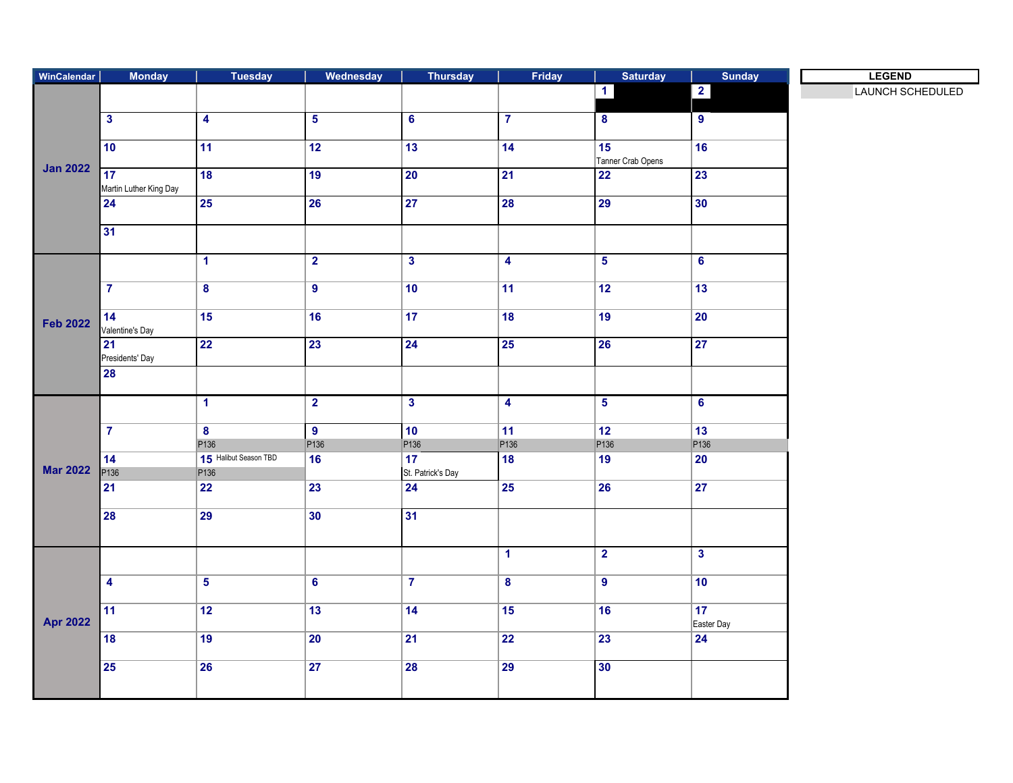| WinCalendar     | <b>Monday</b>           | <b>Tuesday</b>          | Wednesday        | <b>Thursday</b>         | Friday                  | <b>Saturday</b>         | <b>Sunday</b>           | <b>LEGEND</b>    |
|-----------------|-------------------------|-------------------------|------------------|-------------------------|-------------------------|-------------------------|-------------------------|------------------|
| <b>Jan 2022</b> |                         |                         |                  |                         |                         | $\vert$ 1               | $\overline{\mathbf{2}}$ | LAUNCH SCHEDULED |
|                 |                         |                         |                  |                         |                         |                         |                         |                  |
|                 | $\overline{\mathbf{3}}$ | $\overline{\mathbf{4}}$ | $5\phantom{a}$   | 6 <sup>1</sup>          | $\overline{7}$          | 8                       | 9 <sup>°</sup>          |                  |
|                 |                         |                         |                  |                         |                         |                         |                         |                  |
|                 | 10                      | 11                      | 12               | 13                      | 14                      | 15                      | 16                      |                  |
|                 | 17                      | 18                      | 19               | 20                      | 21                      | Tanner Crab Opens<br>22 | 23                      |                  |
|                 | Martin Luther King Day  |                         |                  |                         |                         |                         |                         |                  |
|                 | 24                      | <b>25</b>               | 26               | 27                      | 28                      | 29                      | 30                      |                  |
|                 |                         |                         |                  |                         |                         |                         |                         |                  |
|                 | 31                      |                         |                  |                         |                         |                         |                         |                  |
|                 |                         |                         |                  |                         |                         |                         |                         |                  |
|                 |                         | $\mathbf{1}$            | $\overline{2}$   | $\overline{\mathbf{3}}$ | $\overline{4}$          | $\overline{\mathbf{5}}$ | $6\overline{6}$         |                  |
|                 |                         |                         |                  |                         |                         |                         |                         |                  |
|                 | $\overline{7}$          | $\overline{\mathbf{8}}$ | $\overline{9}$   | 10                      | 11                      | 12                      | 13                      |                  |
|                 |                         |                         |                  |                         |                         |                         |                         |                  |
| <b>Feb 2022</b> | 14<br>Valentine's Day   | $\overline{15}$         | 16               | 17                      | $\overline{18}$         | 19                      | $\overline{20}$         |                  |
|                 | 21                      | 22                      | 23               | 24                      | 25                      | 26                      | 27                      |                  |
|                 | Presidents' Day         |                         |                  |                         |                         |                         |                         |                  |
|                 | 28                      |                         |                  |                         |                         |                         |                         |                  |
|                 |                         |                         |                  |                         |                         |                         |                         |                  |
|                 |                         | $\blacktriangleleft$    | $\overline{2}$   | $\mathbf{3}$            | $\overline{\mathbf{4}}$ | $\overline{\mathbf{5}}$ | $6\overline{6}$         |                  |
|                 |                         |                         |                  |                         |                         |                         |                         |                  |
|                 | $\overline{7}$          | $\overline{\mathbf{8}}$ | $\bullet$        | 10                      | 11                      | 12                      | 13                      |                  |
|                 |                         | P136                    | P <sub>136</sub> | P <sub>136</sub>        | P <sub>136</sub>        | P <sub>136</sub>        | P <sub>136</sub>        |                  |
|                 | 14                      | 15 Halibut Season TBD   | 16               | 17                      | $\overline{18}$         | 19                      | $\overline{20}$         |                  |
| <b>Mar 2022</b> | P136                    | P <sub>136</sub>        |                  | St. Patrick's Day       |                         |                         |                         |                  |
|                 | $\overline{21}$         | $\overline{22}$         | 23               | 24                      | 25                      | 26                      | 27                      |                  |
|                 | $\overline{28}$         | 29                      | 30               | 31                      |                         |                         |                         |                  |
|                 |                         |                         |                  |                         |                         |                         |                         |                  |
|                 |                         |                         |                  |                         |                         |                         |                         |                  |
| <b>Apr 2022</b> |                         |                         |                  |                         | $\overline{1}$          | $\overline{2}$          | $\overline{\mathbf{3}}$ |                  |
|                 |                         |                         |                  |                         |                         |                         |                         |                  |
|                 | $\overline{\mathbf{4}}$ | $\overline{5}$          | $\bf 6$          | $\mathbf{7}$            | $\boldsymbol{8}$        | $\overline{9}$          | 10                      |                  |
|                 |                         |                         |                  |                         |                         |                         |                         |                  |
|                 | 11                      | $\overline{12}$         | 13               | 14                      | $\overline{15}$         | 16                      | 17                      |                  |
|                 |                         |                         |                  |                         |                         | 23                      | Easter Day              |                  |
|                 | 18                      | 19                      | 20               | 21                      | $\overline{22}$         |                         | 24                      |                  |
|                 | $\overline{25}$         | $\overline{26}$         | 27               | $\overline{28}$         | $\overline{29}$         | 30                      |                         |                  |
|                 |                         |                         |                  |                         |                         |                         |                         |                  |
|                 |                         |                         |                  |                         |                         |                         |                         |                  |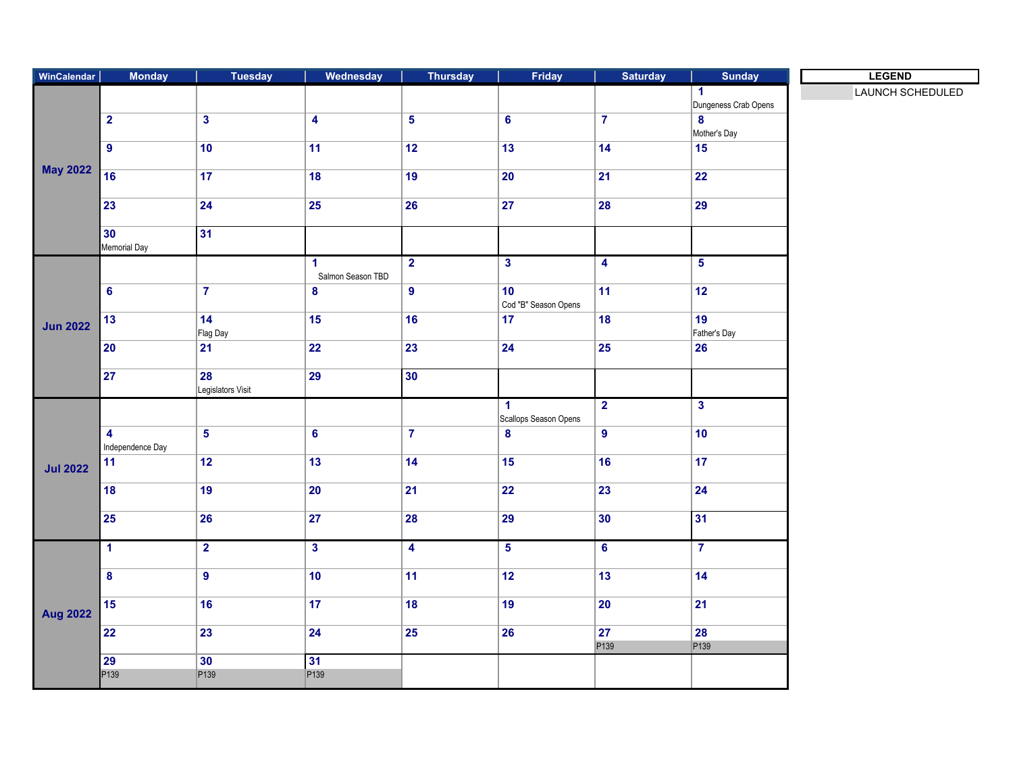| WinCalendar     | <b>Monday</b>                               | Tuesday                 | Wednesday               | <b>Thursday</b>         | Friday                                        | <b>Saturday</b>         | <b>Sunday</b>            | <b>LEGEND</b>    |
|-----------------|---------------------------------------------|-------------------------|-------------------------|-------------------------|-----------------------------------------------|-------------------------|--------------------------|------------------|
| <b>May 2022</b> |                                             |                         |                         |                         |                                               |                         | $\blacktriangleleft$     | LAUNCH SCHEDULED |
|                 |                                             |                         |                         |                         |                                               |                         | Dungeness Crab Opens     |                  |
|                 | $\overline{2}$                              | $\overline{\mathbf{3}}$ | $\overline{\mathbf{4}}$ | $\overline{\mathbf{5}}$ | $\bf 6$                                       | $\overline{7}$          | $\bf{8}$<br>Mother's Day |                  |
|                 | $\overline{9}$                              | 10                      | $\overline{11}$         | 12                      | 13                                            | 14                      | $\overline{15}$          |                  |
|                 |                                             |                         |                         |                         |                                               |                         |                          |                  |
|                 | 16                                          | 17                      | 18                      | 19                      | $\overline{20}$                               | $\overline{21}$         | 22                       |                  |
|                 | $\overline{23}$                             | $\overline{24}$         | $\overline{25}$         | $\overline{26}$         | $\overline{27}$                               | 28                      | 29                       |                  |
|                 | 30                                          | 31                      |                         |                         |                                               |                         |                          |                  |
|                 | Memorial Day                                |                         |                         |                         |                                               |                         |                          |                  |
|                 |                                             |                         | 1                       | $\overline{2}$          | $\overline{\mathbf{3}}$                       | $\overline{\mathbf{4}}$ | $5\overline{)}$          |                  |
|                 |                                             |                         | Salmon Season TBD       |                         |                                               |                         |                          |                  |
| <b>Jun 2022</b> | $\overline{\mathbf{6}}$                     | $\overline{7}$          | 8                       | $\overline{9}$          | 10<br>Cod "B" Season Opens                    | 11                      | 12                       |                  |
|                 | 13                                          | 14                      | 15                      | 16                      | 17                                            | 18                      | 19                       |                  |
|                 |                                             | Flag Day                |                         |                         |                                               |                         | Father's Day             |                  |
|                 | 20                                          | $ 21\rangle$            | $\overline{22}$         | $\overline{23}$         | 24                                            | 25                      | 26                       |                  |
|                 | $\overline{27}$                             | 28                      | $\overline{29}$         | 30                      |                                               |                         |                          |                  |
|                 |                                             | Legislators Visit       |                         |                         |                                               |                         |                          |                  |
|                 |                                             |                         |                         |                         | $\blacktriangleleft$<br>Scallops Season Opens | $\overline{2}$          | $\mathbf{3}$             |                  |
| <b>Jul 2022</b> | $\overline{\mathbf{4}}$<br>Independence Day | $\overline{\mathbf{5}}$ | $6\phantom{a}$          | $\overline{7}$          | $\boldsymbol{8}$                              | $\overline{9}$          | 10                       |                  |
|                 | 11                                          | 12                      | 13                      | 14                      | 15                                            | 16                      | 17 <sub>2</sub>          |                  |
|                 | 18                                          | 19                      | $\overline{20}$         | $\overline{21}$         | 22                                            | $\overline{23}$         | $\overline{24}$          |                  |
|                 | 25                                          | 26                      | $\overline{27}$         | 28                      | 29                                            | 30                      | 31                       |                  |
|                 |                                             |                         |                         | $\overline{4}$          |                                               |                         | $\overline{7}$           |                  |
| <b>Aug 2022</b> | $\mathbf{1}$                                | $\overline{2}$          | $\overline{\mathbf{3}}$ |                         | 5 <sub>5</sub>                                | 6                       |                          |                  |
|                 | $\overline{\mathbf{8}}$                     | $\overline{9}$          | 10                      | 11                      | 12                                            | 13                      | 14                       |                  |
|                 | 15                                          | 16                      | 17                      | 18                      | 19                                            | 20                      | $\overline{21}$          |                  |
|                 | $\overline{22}$                             | 23                      | $\overline{24}$         | $\overline{25}$         | 26                                            | $\overline{27}$<br>P139 | 28<br>P139               |                  |
|                 | $\overline{29}$                             | 30                      | 31                      |                         |                                               |                         |                          |                  |
|                 | P139                                        | P <sub>139</sub>        | P <sub>139</sub>        |                         |                                               |                         |                          |                  |
|                 |                                             |                         |                         |                         |                                               |                         |                          |                  |